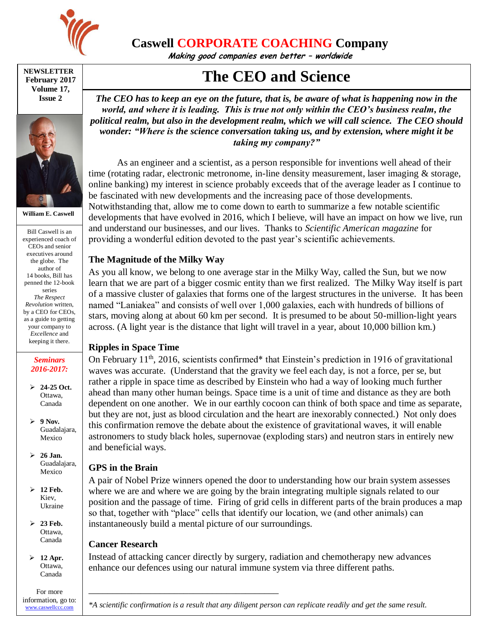

**Caswell CORPORATE COACHING Company**

**Making good companies even better – worldwide**

#### **NEWSLETTER February 2017 Volume 17, Issue 2**



**William E. Caswell**

Bill Caswell is an experienced coach of CEOs and senior executives around the globe. The author of 14 books, Bill has penned the 12-book series *The Respect Revolution* written, by a CEO for CEOs, as a guide to getting your company to *Excellence* and keeping it there.

#### *Seminars 2016-2017:*

 **24-25 Oct.** Ottawa, Canada

 $\geq 9$  Nov. Guadalajara, Mexico

- **26 Jan.** Guadalajara, Mexico
- **12 Feb.** Kiev, Ukraine

 **23 Feb.** Ottawa, Canada

 **12 Apr.** Ottawa, Canada

For more information, go to: [www.caswellccc.com](http://www.caswellccc.com/)

# **The CEO and Science**

*The CEO has to keep an eye on the future, that is, be aware of what is happening now in the world, and where it is leading. This is true not only within the CEO's business realm, the political realm, but also in the development realm, which we will call science. The CEO should wonder: "Where is the science conversation taking us, and by extension, where might it be taking my company?"*

As an engineer and a scientist, as a person responsible for inventions well ahead of their time (rotating radar, electronic metronome, in-line density measurement, laser imaging & storage, online banking) my interest in science probably exceeds that of the average leader as I continue to be fascinated with new developments and the increasing pace of those developments. Notwithstanding that, allow me to come down to earth to summarize a few notable scientific developments that have evolved in 2016, which I believe, will have an impact on how we live, run and understand our businesses, and our lives. Thanks to *Scientific American magazine* for providing a wonderful edition devoted to the past year's scientific achievements.

# **The Magnitude of the Milky Way**

As you all know, we belong to one average star in the Milky Way, called the Sun, but we now learn that we are part of a bigger cosmic entity than we first realized. The Milky Way itself is part of a massive cluster of galaxies that forms one of the largest structures in the universe. It has been named "Laniakea" and consists of well over 1,000 galaxies, each with hundreds of billions of stars, moving along at about 60 km per second. It is presumed to be about 50-million-light years across. (A light year is the distance that light will travel in a year, about 10,000 billion km.)

# **Ripples in Space Time**

On February 11<sup>th</sup>, 2016, scientists confirmed\* that Einstein's prediction in 1916 of gravitational waves was accurate. (Understand that the gravity we feel each day, is not a force, per se, but rather a ripple in space time as described by Einstein who had a way of looking much further ahead than many other human beings. Space time is a unit of time and distance as they are both dependent on one another. We in our earthly cocoon can think of both space and time as separate, but they are not, just as blood circulation and the heart are inexorably connected.) Not only does this confirmation remove the debate about the existence of gravitational waves, it will enable astronomers to study black holes, supernovae (exploding stars) and neutron stars in entirely new and beneficial ways.

# **GPS in the Brain**

A pair of Nobel Prize winners opened the door to understanding how our brain system assesses where we are and where we are going by the brain integrating multiple signals related to our position and the passage of time. Firing of grid cells in different parts of the brain produces a map so that, together with "place" cells that identify our location, we (and other animals) can instantaneously build a mental picture of our surroundings.

# **Cancer Research**

\_\_\_\_\_\_\_\_\_\_\_\_\_\_\_\_\_\_\_\_\_\_\_\_\_\_\_\_\_\_\_\_\_\_\_\_\_\_\_\_

Instead of attacking cancer directly by surgery, radiation and chemotherapy new advances enhance our defences using our natural immune system via three different paths.

*\*A scientific confirmation is a result that any diligent person can replicate readily and get the same result.*